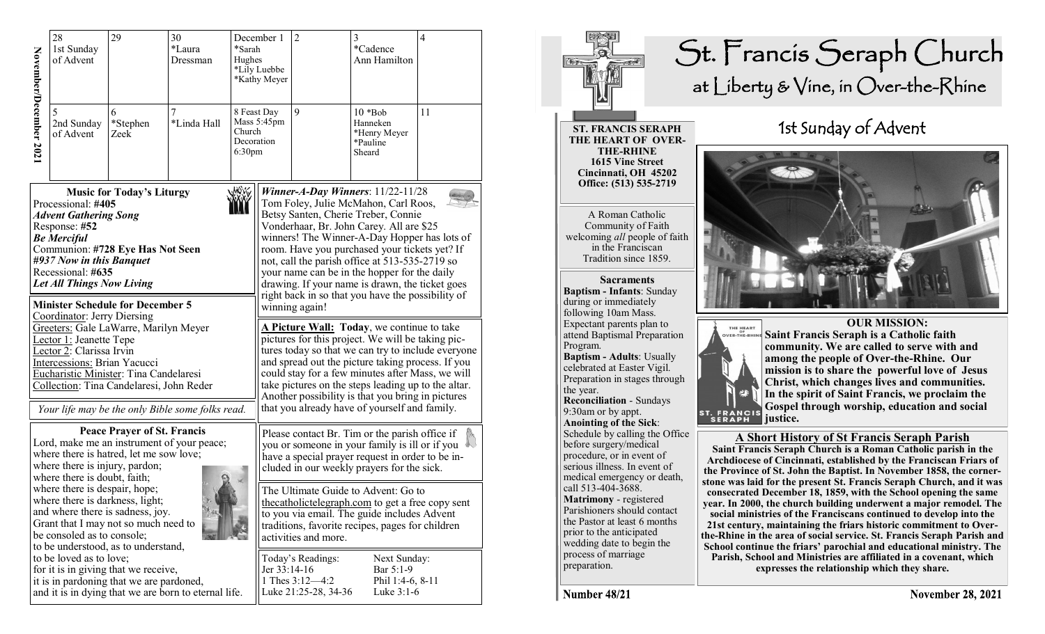|                                                                                                                                                                                                                                                                                                                                                                                                                                                                                                                                                                                                            | 28<br>1st Sunday<br>of Advent | 29                                                                               | 30<br>*Laura<br>Dressman                             | December 1<br>*Sarah<br>Hughes<br>*Lily Luebbe<br>*Kathy Meyer |                                                                | $\overline{2}$                                                                                                                                                                                                                                                                                                                                                                                                                                                                                                                                                                                                                                                                                                                                                                                                                                                                                                             | 3<br>*Cadence<br>Ann Hamilton                                | $\overline{4}$ |
|------------------------------------------------------------------------------------------------------------------------------------------------------------------------------------------------------------------------------------------------------------------------------------------------------------------------------------------------------------------------------------------------------------------------------------------------------------------------------------------------------------------------------------------------------------------------------------------------------------|-------------------------------|----------------------------------------------------------------------------------|------------------------------------------------------|----------------------------------------------------------------|----------------------------------------------------------------|----------------------------------------------------------------------------------------------------------------------------------------------------------------------------------------------------------------------------------------------------------------------------------------------------------------------------------------------------------------------------------------------------------------------------------------------------------------------------------------------------------------------------------------------------------------------------------------------------------------------------------------------------------------------------------------------------------------------------------------------------------------------------------------------------------------------------------------------------------------------------------------------------------------------------|--------------------------------------------------------------|----------------|
| November/December 2021                                                                                                                                                                                                                                                                                                                                                                                                                                                                                                                                                                                     | 5<br>2nd Sunday<br>of Advent  | 6<br>*Stephen<br>Zeek                                                            | 7<br>*Linda Hall                                     | Church<br>Decoration<br>6:30pm                                 | 8 Feast Day<br>Mass 5:45pm                                     | 9                                                                                                                                                                                                                                                                                                                                                                                                                                                                                                                                                                                                                                                                                                                                                                                                                                                                                                                          | $10 * Bob$<br>Hanneken<br>*Henry Meyer<br>*Pauline<br>Sheard | 11             |
| <b>Music for Today's Liturgy</b><br>Processional: #405<br><b>Advent Gathering Song</b><br>Response: #52<br><b>Be Merciful</b><br>Communion: #728 Eye Has Not Seen<br>#937 Now in this Banquet<br>Recessional: #635<br><b>Let All Things Now Living</b><br><b>Minister Schedule for December 5</b><br>Coordinator: Jerry Diersing<br>Greeters: Gale LaWarre, Marilyn Meyer<br>Lector 1: Jeanette Tepe<br>Lector 2: Clarissa Irvin<br>Intercessions: Brian Yacucci<br>Eucharistic Minister: Tina Candelaresi<br>Collection: Tina Candelaresi, John Reder<br>Your life may be the only Bible some folks read. |                               |                                                                                  |                                                      |                                                                |                                                                | Winner-A-Day Winners: $11/22-11/28$<br>Tom Foley, Julie McMahon, Carl Roos,<br>Betsy Santen, Cherie Treber, Connie<br>Vonderhaar, Br. John Carey. All are \$25<br>winners! The Winner-A-Day Hopper has lots of<br>room. Have you purchased your tickets yet? If<br>not, call the parish office at 513-535-2719 so<br>your name can be in the hopper for the daily<br>drawing. If your name is drawn, the ticket goes<br>right back in so that you have the possibility of<br>winning again!<br>A Picture Wall: Today, we continue to take<br>pictures for this project. We will be taking pic-<br>tures today so that we can try to include everyone<br>and spread out the picture taking process. If you<br>could stay for a few minutes after Mass, we will<br>take pictures on the steps leading up to the altar.<br>Another possibility is that you bring in pictures<br>that you already have of yourself and family. |                                                              |                |
| <b>Peace Prayer of St. Francis</b><br>Lord, make me an instrument of your peace;<br>where there is hatred, let me sow love;<br>where there is injury, pardon;<br>where there is doubt, faith;<br>where there is despair, hope;<br>where there is darkness, light;<br>and where there is sadness, joy.<br>Grant that I may not so much need to<br>be consoled as to console;<br>to be understood, as to understand,                                                                                                                                                                                         |                               |                                                                                  |                                                      |                                                                |                                                                | Please contact Br. Tim or the parish office if<br>you or someone in your family is ill or if you<br>have a special prayer request in order to be in-<br>cluded in our weekly prayers for the sick.<br>The Ultimate Guide to Advent: Go to<br>thecatholictelegraph.com to get a free copy sent<br>to you via email. The guide includes Advent<br>traditions, favorite recipes, pages for children<br>activities and more.                                                                                                                                                                                                                                                                                                                                                                                                                                                                                                   |                                                              |                |
|                                                                                                                                                                                                                                                                                                                                                                                                                                                                                                                                                                                                            | to be loved as to love;       | for it is in giving that we receive,<br>it is in pardoning that we are pardoned, | and it is in dying that we are born to eternal life. | Jer 33:14-16                                                   | Today's Readings:<br>1 Thes $3:12-4:2$<br>Luke 21:25-28, 34-36 | Next Sunday:<br>Bar 5:1-9<br>Phil 1:4-6, 8-11<br>Luke $3:1-6$                                                                                                                                                                                                                                                                                                                                                                                                                                                                                                                                                                                                                                                                                                                                                                                                                                                              |                                                              |                |

## St. Francis Seraph Church at Liberty & Vine, in Over-the-Rhine

**ST. FRANCIS SERAPH THE HEART OF OVER-THE-RHINE 1615 Vine Street Cincinnati, OH 45202 Office: (513) 535-2719** 

A Roman Catholic Community of Faith welcoming *all* people of faith in the Franciscan Tradition since 1859.

**Sacraments Baptism - Infants**: Sunday during or immediately following 10am Mass. Expectant parents plan to attend Baptismal Preparation Program. **Baptism - Adults**: Usually celebrated at Easter Vigil. Preparation in stages through the year. **Reconciliation** - Sundays 9:30am or by appt. **Anointing of the Sick**: Schedule by calling the Office before surgery/medical procedure, or in event of serious illness. In event of medical emergency or death, call 513-404-3688. **Matrimony** - registered Parishioners should contact the Pastor at least 6 months prior to the anticipated wedding date to begin the process of marriage preparation.

## 1st Sunday of Advent





 **OUR MISSION: Saint Francis Seraph is a Catholic faith community. We are called to serve with and among the people of Over-the-Rhine. Our mission is to share the powerful love of Jesus Christ, which changes lives and communities. In the spirit of Saint Francis, we proclaim the Gospel through worship, education and social** 

## **A Short History of St Francis Seraph Parish**

**Saint Francis Seraph Church is a Roman Catholic parish in the Archdiocese of Cincinnati, established by the Franciscan Friars of the Province of St. John the Baptist. In November 1858, the cornerstone was laid for the present St. Francis Seraph Church, and it was consecrated December 18, 1859, with the School opening the same year. In 2000, the church building underwent a major remodel. The social ministries of the Franciscans continued to develop into the 21st century, maintaining the friars historic commitment to Overthe-Rhine in the area of social service. St. Francis Seraph Parish and School continue the friars' parochial and educational ministry. The Parish, School and Ministries are affiliated in a covenant, which expresses the relationship which they share.** 

Number 48/21